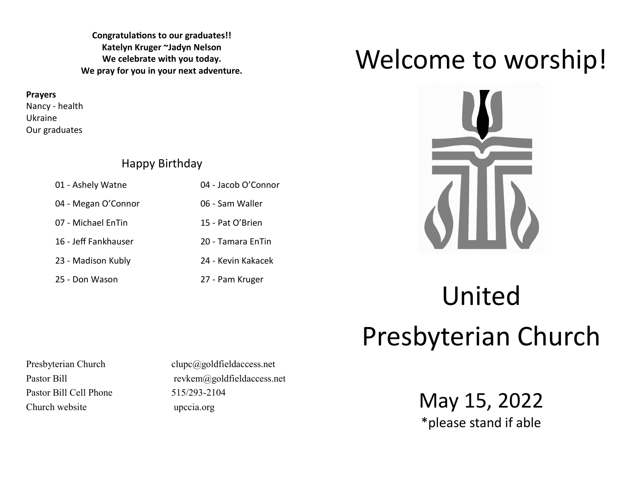**Congratulations to our graduates!! Katelyn Kruger ~Jadyn Nelson We celebrate with you today. We pray for you in your next adventure.**

**Prayers**

Nancy - health Ukraine Our graduates

### Happy Birthday

| 01 - Ashely Watne    | 04 - Jacob O'Connor |
|----------------------|---------------------|
| 04 - Megan O'Connor  | 06 - Sam Waller     |
| 07 - Michael EnTin   | 15 - Pat O'Brien    |
| 16 - Jeff Fankhauser | 20 - Tamara EnTin   |
| 23 - Madison Kubly   | 24 - Kevin Kakacek  |
| 25 - Don Wason       | 27 - Pam Kruger     |

## Welcome to worship!



# United Presbyterian Church

Pastor Bill Cell Phone 515/293-2104 Church website upccia.org

Presbyterian Church clupc@goldfieldaccess.net Pastor Bill revkem@goldfieldaccess.net

May 15, 2022 \*please stand if able